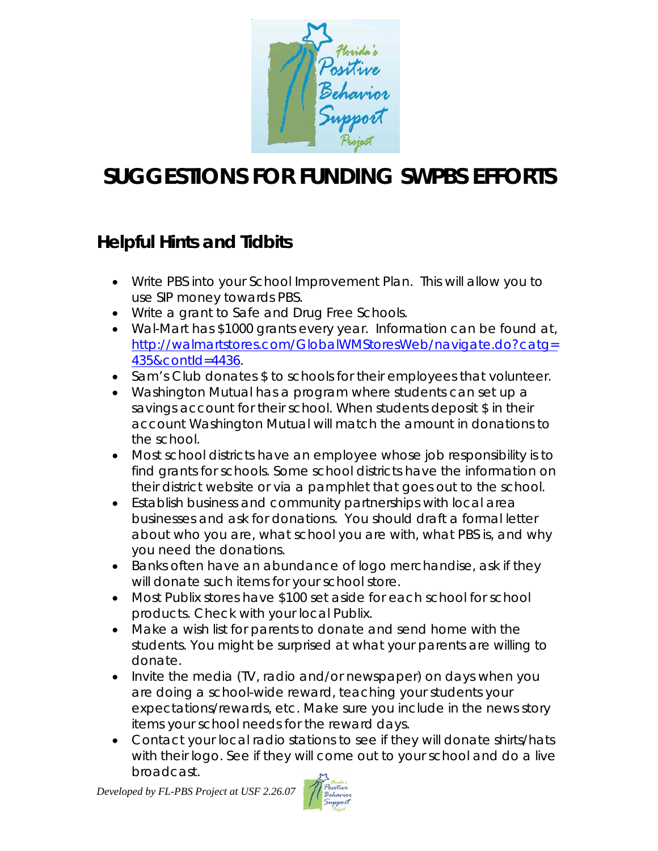

# **SUGGESTIONS FOR FUNDING SWPBS EFFORTS**

## **Helpful Hints and Tidbits**

- Write PBS into your School Improvement Plan. This will allow you to use SIP money towards PBS.
- Write a grant to Safe and Drug Free Schools.
- Wal-Mart has \$1000 grants every year. Information can be found at, http://walmartstores.com/GlobalWMStoresWeb/navigate.do?catg= 435&contId=4436.
- Sam's Club donates \$ to schools for their employees that volunteer.
- Washington Mutual has a program where students can set up a savings account for their school. When students deposit \$ in their account Washington Mutual will match the amount in donations to the school.
- Most school districts have an employee whose job responsibility is to find grants for schools. Some school districts have the information on their district website or via a pamphlet that goes out to the school.
- Establish business and community partnerships with local area businesses and ask for donations. You should draft a formal letter about who you are, what school you are with, what PBS is, and why you need the donations.
- Banks often have an abundance of logo merchandise, ask if they will donate such items for your school store.
- Most Publix stores have \$100 set aside for each school for school products. Check with your local Publix.
- Make a wish list for parents to donate and send home with the students. You might be surprised at what your parents are willing to donate.
- Invite the media (TV, radio and/or newspaper) on days when you are doing a school-wide reward, teaching your students your expectations/rewards, etc. Make sure you include in the news story items your school needs for the reward days.
- Contact your local radio stations to see if they will donate shirts/hats with their logo. See if they will come out to your school and do a live broadcast.

*Developed by FL-PBS Project at USF 2.26.07* 

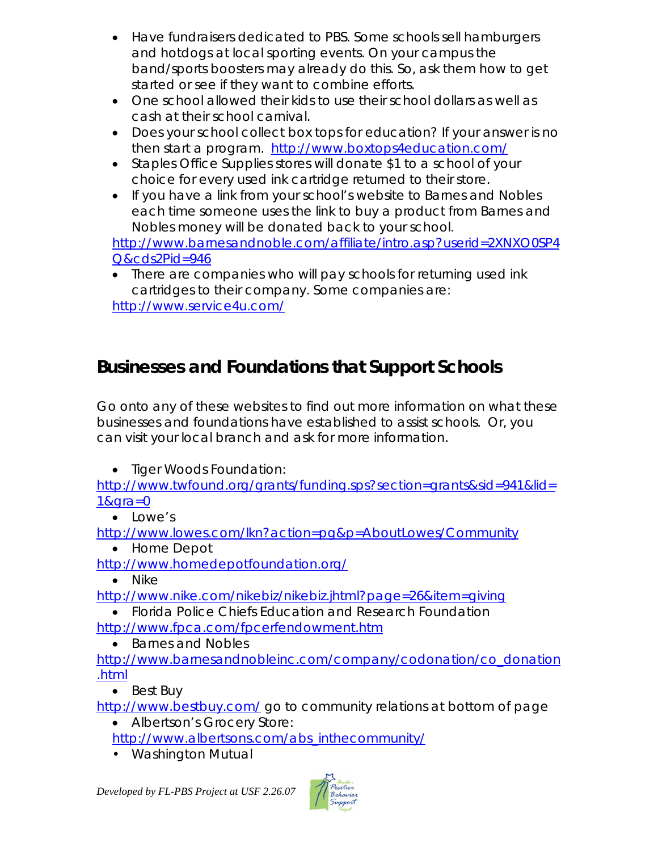- Have fundraisers dedicated to PBS. Some schools sell hamburgers and hotdogs at local sporting events. On your campus the band/sports boosters may already do this. So, ask them how to get started or see if they want to combine efforts.
- One school allowed their kids to use their school dollars as well as cash at their school carnival.
- Does your school collect box tops for education? If your answer is no then start a program. http://www.boxtops4education.com/
- Staples Office Supplies stores will donate \$1 to a school of your choice for every used ink cartridge returned to their store.
- If you have a link from your school's website to Barnes and Nobles each time someone uses the link to buy a product from Barnes and Nobles money will be donated back to your school.

http://www.barnesandnoble.com/affiliate/intro.asp?userid=2XNXO0SP4 Q&cds2Pid=946

• There are companies who will pay schools for returning used ink cartridges to their company. Some companies are: http://www.service4u.com/

## **Businesses and Foundations that Support Schools**

Go onto any of these websites to find out more information on what these businesses and foundations have established to assist schools. Or, you can visit your local branch and ask for more information.

• Tiger Woods Foundation:

http://www.twfound.org/grants/funding.sps?section=grants&sid=941&lid= 1&gra=0

• Lowe's

http://www.lowes.com/lkn?action=pg&p=AboutLowes/Community

• Home Depot

http://www.homedepotfoundation.org/

• Nike

http://www.nike.com/nikebiz/nikebiz.jhtml?page=26&item=giving

• Florida Police Chiefs Education and Research Foundation http://www.fpca.com/fpcerfendowment.htm

• Barnes and Nobles

http://www.barnesandnobleinc.com/company/codonation/co\_donation .html

• Best Buy

http://www.bestbuy.com/go to community relations at bottom of page

• Albertson's Grocery Store: http://www.albertsons.com/abs\_inthecommunity/

• Washington Mutual

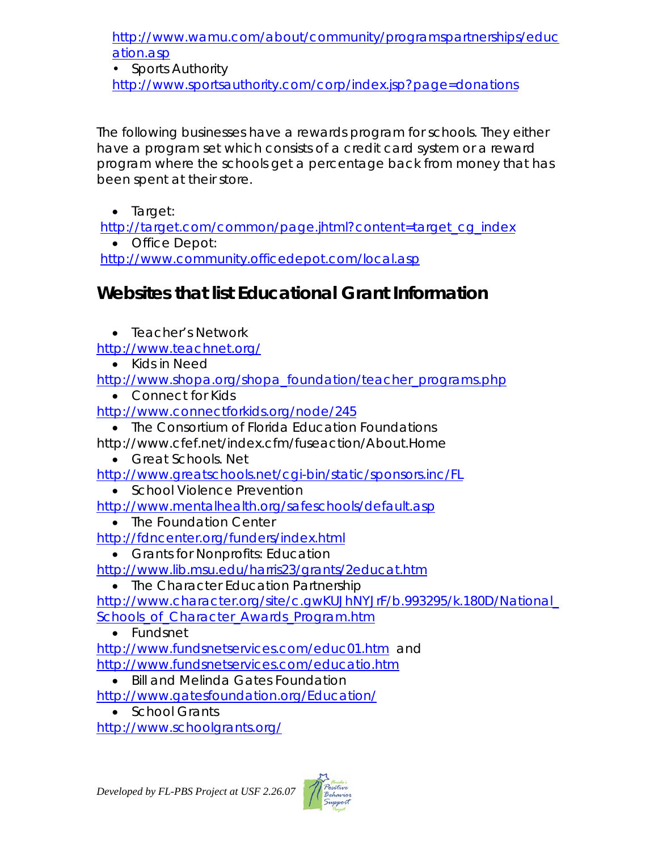http://www.wamu.com/about/community/programspartnerships/educ ation.asp

• Sports Authority http://www.sportsauthority.com/corp/index.jsp?page=donations

The following businesses have a rewards program for schools. They either have a program set which consists of a credit card system or a reward program where the schools get a percentage back from money that has been spent at their store.

- Target:
- http://target.com/common/page.jhtml?content=target\_cg\_index

• Office Depot: http://www.community.officedepot.com/local.asp

## **Websites that list Educational Grant Information**

• Teacher's Network

http://www.teachnet.org/

• Kids in Need

http://www.shopa.org/shopa\_foundation/teacher\_programs.php

• Connect for Kids

http://www.connectforkids.org/node/245

- The Consortium of Florida Education Foundations
- http://www.cfef.net/index.cfm/fuseaction/About.Home
	- Great Schools. Net

http://www.greatschools.net/cgi-bin/static/sponsors.inc/FL

- School Violence Prevention
- http://www.mentalhealth.org/safeschools/default.asp
	- The Foundation Center

http://fdncenter.org/funders/index.html

- Grants for Nonprofits: Education
- http://www.lib.msu.edu/harris23/grants/2educat.htm
	- The Character Education Partnership

http://www.character.org/site/c.gwKUJhNYJrF/b.993295/k.180D/National\_ Schools of Character Awards Program.htm

• Fundsnet

http://www.fundsnetservices.com/educ01.htm and http://www.fundsnetservices.com/educatio.htm

• Bill and Melinda Gates Foundation

http://www.gatesfoundation.org/Education/

• School Grants

http://www.schoolgrants.org/